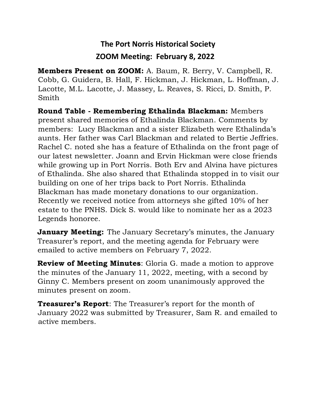## **The Port Norris Historical Society ZOOM Meeting: February 8, 2022**

**Members Present on ZOOM:** A. Baum, R. Berry, V. Campbell, R. Cobb, G. Guidera, B. Hall, F. Hickman, J. Hickman, L. Hoffman, J. Lacotte, M.L. Lacotte, J. Massey, L. Reaves, S. Ricci, D. Smith, P. Smith

**Round Table - Remembering Ethalinda Blackman:** Members present shared memories of Ethalinda Blackman. Comments by members: Lucy Blackman and a sister Elizabeth were Ethalinda's aunts. Her father was Carl Blackman and related to Bertie Jeffries. Rachel C. noted she has a feature of Ethalinda on the front page of our latest newsletter. Joann and Ervin Hickman were close friends while growing up in Port Norris. Both Erv and Alvina have pictures of Ethalinda. She also shared that Ethalinda stopped in to visit our building on one of her trips back to Port Norris. Ethalinda Blackman has made monetary donations to our organization. Recently we received notice from attorneys she gifted 10% of her estate to the PNHS. Dick S. would like to nominate her as a 2023 Legends honoree.

**January Meeting:** The January Secretary's minutes, the January Treasurer's report, and the meeting agenda for February were emailed to active members on February 7, 2022.

**Review of Meeting Minutes**: Gloria G. made a motion to approve the minutes of the January 11, 2022, meeting, with a second by Ginny C. Members present on zoom unanimously approved the minutes present on zoom.

**Treasurer's Report**: The Treasurer's report for the month of January 2022 was submitted by Treasurer, Sam R. and emailed to active members.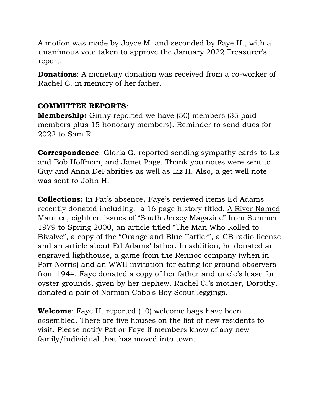A motion was made by Joyce M. and seconded by Faye H., with a unanimous vote taken to approve the January 2022 Treasurer's report.

**Donations**: A monetary donation was received from a co-worker of Rachel C. in memory of her father.

## **COMMITTEE REPORTS**:

**Membership:** Ginny reported we have (50) members (35 paid members plus 15 honorary members). Reminder to send dues for 2022 to Sam R.

**Correspondence**: Gloria G. reported sending sympathy cards to Liz and Bob Hoffman, and Janet Page. Thank you notes were sent to Guy and Anna DeFabrities as well as Liz H. Also, a get well note was sent to John H.

**Collections:** In Pat's absence**,** Faye's reviewed items Ed Adams recently donated including: a 16 page history titled, A River Named Maurice, eighteen issues of "South Jersey Magazine" from Summer 1979 to Spring 2000, an article titled "The Man Who Rolled to Bivalve", a copy of the "Orange and Blue Tattler", a CB radio license and an article about Ed Adams' father. In addition, he donated an engraved lighthouse, a game from the Rennoc company (when in Port Norris) and an WWII invitation for eating for ground observers from 1944. Faye donated a copy of her father and uncle's lease for oyster grounds, given by her nephew. Rachel C.'s mother, Dorothy, donated a pair of Norman Cobb's Boy Scout leggings.

**Welcome**: Faye H. reported (10) welcome bags have been assembled. There are five houses on the list of new residents to visit. Please notify Pat or Faye if members know of any new family/individual that has moved into town.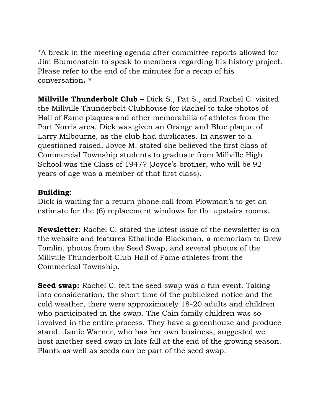\*A break in the meeting agenda after committee reports allowed for Jim Blumenstein to speak to members regarding his history project. Please refer to the end of the minutes for a recap of his conversation**. \***

**Millville Thunderbolt Club –** Dick S., Pat S., and Rachel C. visited the Millville Thunderbolt Clubhouse for Rachel to take photos of Hall of Fame plaques and other memorabilia of athletes from the Port Norris area. Dick was given an Orange and Blue plaque of Larry Milbourne, as the club had duplicates. In answer to a questioned raised, Joyce M. stated she believed the first class of Commercial Township students to graduate from Millville High School was the Class of 1947? (Joyce's brother, who will be 92 years of age was a member of that first class).

## **Building**:

Dick is waiting for a return phone call from Plowman's to get an estimate for the (6) replacement windows for the upstairs rooms.

**Newsletter**: Rachel C. stated the latest issue of the newsletter is on the website and features Ethalinda Blackman, a memoriam to Drew Tomlin, photos from the Seed Swap, and several photos of the Millville Thunderbolt Club Hall of Fame athletes from the Commerical Township.

**Seed swap:** Rachel C. felt the seed swap was a fun event. Taking into consideration, the short time of the publicized notice and the cold weather, there were approximately 18-20 adults and children who participated in the swap. The Cain family children was so involved in the entire process. They have a greenhouse and produce stand. Jamie Warner, who has her own business, suggested we host another seed swap in late fall at the end of the growing season. Plants as well as seeds can be part of the seed swap.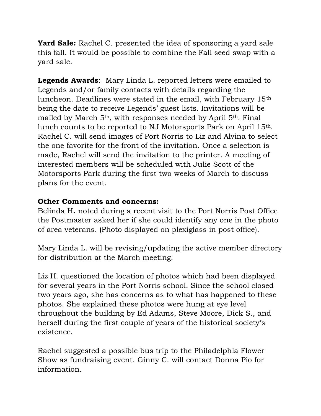**Yard Sale:** Rachel C. presented the idea of sponsoring a yard sale this fall. It would be possible to combine the Fall seed swap with a yard sale.

**Legends Awards**: Mary Linda L. reported letters were emailed to Legends and/or family contacts with details regarding the luncheon. Deadlines were stated in the email, with February 15th being the date to receive Legends' guest lists. Invitations will be mailed by March 5th, with responses needed by April 5th. Final lunch counts to be reported to NJ Motorsports Park on April 15th. Rachel C. will send images of Port Norris to Liz and Alvina to select the one favorite for the front of the invitation. Once a selection is made, Rachel will send the invitation to the printer. A meeting of interested members will be scheduled with Julie Scott of the Motorsports Park during the first two weeks of March to discuss plans for the event.

## **Other Comments and concerns:**

Belinda H**.** noted during a recent visit to the Port Norris Post Office the Postmaster asked her if she could identify any one in the photo of area veterans. (Photo displayed on plexiglass in post office).

Mary Linda L. will be revising/updating the active member directory for distribution at the March meeting.

Liz H. questioned the location of photos which had been displayed for several years in the Port Norris school. Since the school closed two years ago, she has concerns as to what has happened to these photos. She explained these photos were hung at eye level throughout the building by Ed Adams, Steve Moore, Dick S., and herself during the first couple of years of the historical society's existence.

Rachel suggested a possible bus trip to the Philadelphia Flower Show as fundraising event. Ginny C. will contact Donna Pio for information.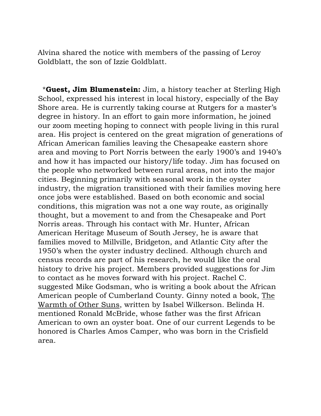Alvina shared the notice with members of the passing of Leroy Goldblatt, the son of Izzie Goldblatt.

 \***Guest, Jim Blumenstein:** Jim, a history teacher at Sterling High School, expressed his interest in local history, especially of the Bay Shore area. He is currently taking course at Rutgers for a master's degree in history. In an effort to gain more information, he joined our zoom meeting hoping to connect with people living in this rural area. His project is centered on the great migration of generations of African American families leaving the Chesapeake eastern shore area and moving to Port Norris between the early 1900's and 1940's and how it has impacted our history/life today. Jim has focused on the people who networked between rural areas, not into the major cities. Beginning primarily with seasonal work in the oyster industry, the migration transitioned with their families moving here once jobs were established. Based on both economic and social conditions, this migration was not a one way route, as originally thought, but a movement to and from the Chesapeake and Port Norris areas. Through his contact with Mr. Hunter, African American Heritage Museum of South Jersey, he is aware that families moved to Millville, Bridgeton, and Atlantic City after the 1950's when the oyster industry declined. Although church and census records are part of his research, he would like the oral history to drive his project. Members provided suggestions for Jim to contact as he moves forward with his project. Rachel C. suggested Mike Godsman, who is writing a book about the African American people of Cumberland County. Ginny noted a book, The Warmth of Other Suns, written by Isabel Wilkerson. Belinda H. mentioned Ronald McBride, whose father was the first African American to own an oyster boat. One of our current Legends to be honored is Charles Amos Camper, who was born in the Crisfield area.